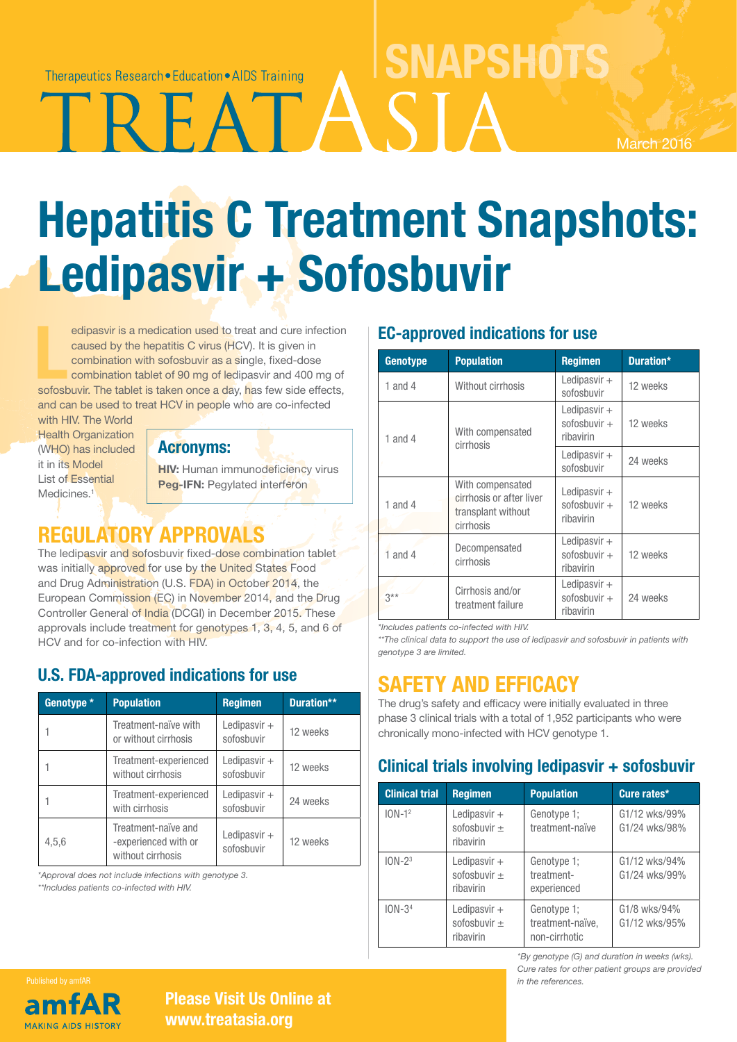Therapeutics Research • Education • AIDS Training

A S

March 2016

# Hepatitis C Treatment Snapshots: Ledipasvir + Sofosbuvir

edipasvir is a medication used to treat and cure infection<br>caused by the hepatitis C virus (HCV). It is given in<br>combination with sofosbuvir as a single, fixed-dose<br>combination tablet of 90 mg of ledipasvir and 400 mg of<br>s edipasvir is a medication used to treat and cure infection caused by the hepatitis C virus (HCV). It is given in combination with sofosbuvir as a single, fixed-dose combination tablet of 90 mg of ledipasvir and 400 mg of and can be used to treat HCV in people who are co-infected

with HIV. The World **Health Organization** (WHO) has included it in its Model List of Essential Medicines.<sup>1</sup>

#### Acronyms:

HIV: Human immunodeficiency virus Peg-IFN: Pegylated interferon

# REGULATORY APPROVALS

The ledipasvir and sofosbuvir fixed-dose combination tablet was initially approved for use by the United States Food and Drug Administration (U.S. FDA) in October 2014, the European Commission (EC) in November 2014, and the Drug Controller General of India (DCGI) in December 2015. These approvals include treatment for genotypes 1, 3, 4, 5, and 6 of HCV and for co-infection with HIV.

## U.S. FDA-approved indications for use

| Genotype * | <b>Population</b>                                                | <b>Regimen</b>               | Duration** |
|------------|------------------------------------------------------------------|------------------------------|------------|
|            | Treatment-naïve with<br>or without cirrhosis                     | Ledipasvir $+$<br>sofosbuvir | 12 weeks   |
|            | Treatment-experienced<br>without cirrhosis                       | Ledipasvir $+$<br>sofosbuvir | 12 weeks   |
|            | Treatment-experienced<br>with cirrhosis                          | Ledipasvir $+$<br>sofosbuvir | 24 weeks   |
| 4,5,6      | Treatment-naïve and<br>-experienced with or<br>without cirrhosis | Ledipasvir +<br>sofosbuvir   | 12 weeks   |

*\*Approval does not include infections with genotype 3. \*\*Includes patients co-infected with HIV.*

# EC-approved indications for use

**SNAPSHOTS** 

| Genotype    | <b>Population</b>                                                               | <b>Regimen</b>                                | Duration* |
|-------------|---------------------------------------------------------------------------------|-----------------------------------------------|-----------|
| 1 and 4     | Without cirrhosis                                                               | Ledipasvir $+$<br>sofosbuvir                  | 12 weeks  |
| 1 and 4     | With compensated<br>cirrhosis                                                   | Ledipasvir $+$<br>sofosbuvir $+$<br>ribavirin | 12 weeks  |
|             |                                                                                 | Ledipasvir $+$<br>sofosbuvir                  | 24 weeks  |
| 1 and 4     | With compensated<br>cirrhosis or after liver<br>transplant without<br>cirrhosis | Ledipasvir $+$<br>sofosbuvir $+$<br>ribavirin | 12 weeks  |
| $1$ and $4$ | Decompensated<br>cirrhosis                                                      | Ledipasvir $+$<br>sofosbuvir $+$<br>ribavirin | 12 weeks  |
| $3***$      | Cirrhosis and/or<br>treatment failure                                           | Ledipasvir $+$<br>sofosbuvir $+$<br>ribavirin | 24 weeks  |

*\*Includes patients co-infected with HIV.* 

*\*\*The clinical data to support the use of ledipasvir and sofosbuvir in patients with genotype 3 are limited.*

# SAFETY AND EFFICACY

The drug's safety and efficacy were initially evaluated in three phase 3 clinical trials with a total of 1,952 participants who were chronically mono-infected with HCV genotype 1.

## Clinical trials involving ledipasvir + sofosbuvir

| <b>Clinical trial</b> | <b>Regimen</b>                                  | <b>Population</b>                                | Cure rates*                    |
|-----------------------|-------------------------------------------------|--------------------------------------------------|--------------------------------|
| $10N-1^2$             | Ledipasvir $+$<br>sofosbuvir $\pm$<br>ribavirin | Genotype 1;<br>treatment-naïve                   | G1/12 wks/99%<br>G1/24 wks/98% |
| $10N - 23$            | Ledipasvir $+$<br>sofosbuvir $\pm$<br>ribavirin | Genotype 1;<br>treatment-<br>experienced         | G1/12 wks/94%<br>G1/24 wks/99% |
| $10N-34$              | Ledipasvir $+$<br>sofosbuvir $\pm$<br>ribavirin | Genotype 1;<br>treatment-naïve,<br>non-cirrhotic | G1/8 wks/94%<br>G1/12 wks/95%  |

*\*By genotype (G) and duration in weeks (wks). Cure rates for other patient groups are provided in the references.*

# Published by amfAR **MAKING AIDS HISTORY**

#### Please Visit Us Online at www.treatasia.org